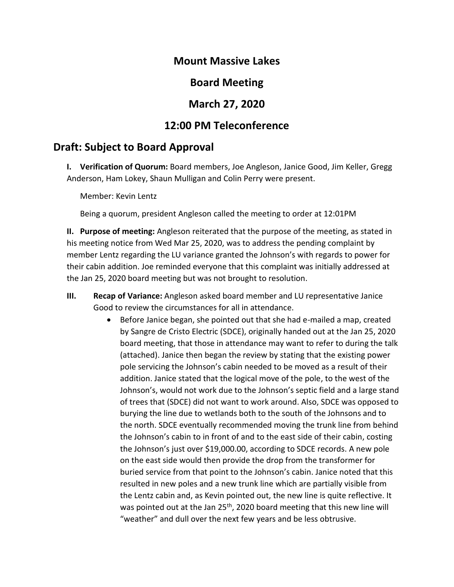#### **Mount Massive Lakes**

## **Board Meeting**

## **March 27, 2020**

# **12:00 PM Teleconference**

## **Draft: Subject to Board Approval**

**I. Verification of Quorum:** Board members, Joe Angleson, Janice Good, Jim Keller, Gregg Anderson, Ham Lokey, Shaun Mulligan and Colin Perry were present.

Member: Kevin Lentz

Being a quorum, president Angleson called the meeting to order at 12:01PM

**II. Purpose of meeting:** Angleson reiterated that the purpose of the meeting, as stated in his meeting notice from Wed Mar 25, 2020, was to address the pending complaint by member Lentz regarding the LU variance granted the Johnson's with regards to power for their cabin addition. Joe reminded everyone that this complaint was initially addressed at the Jan 25, 2020 board meeting but was not brought to resolution.

- **III. Recap of Variance:** Angleson asked board member and LU representative Janice Good to review the circumstances for all in attendance.
	- Before Janice began, she pointed out that she had e-mailed a map, created by Sangre de Cristo Electric (SDCE), originally handed out at the Jan 25, 2020 board meeting, that those in attendance may want to refer to during the talk (attached). Janice then began the review by stating that the existing power pole servicing the Johnson's cabin needed to be moved as a result of their addition. Janice stated that the logical move of the pole, to the west of the Johnson's, would not work due to the Johnson's septic field and a large stand of trees that (SDCE) did not want to work around. Also, SDCE was opposed to burying the line due to wetlands both to the south of the Johnsons and to the north. SDCE eventually recommended moving the trunk line from behind the Johnson's cabin to in front of and to the east side of their cabin, costing the Johnson's just over \$19,000.00, according to SDCE records. A new pole on the east side would then provide the drop from the transformer for buried service from that point to the Johnson's cabin. Janice noted that this resulted in new poles and a new trunk line which are partially visible from the Lentz cabin and, as Kevin pointed out, the new line is quite reflective. It was pointed out at the Jan 25<sup>th</sup>, 2020 board meeting that this new line will "weather" and dull over the next few years and be less obtrusive.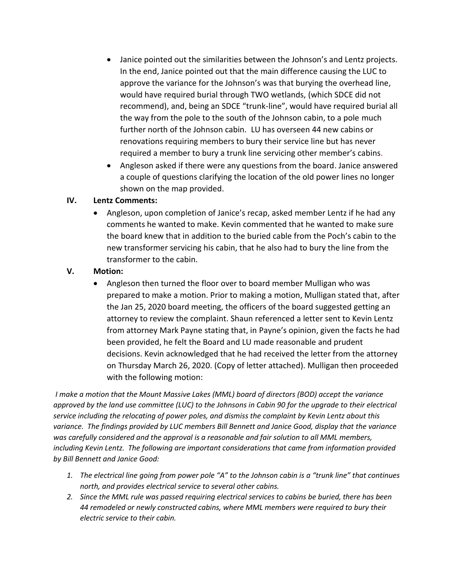- Janice pointed out the similarities between the Johnson's and Lentz projects. In the end, Janice pointed out that the main difference causing the LUC to approve the variance for the Johnson's was that burying the overhead line, would have required burial through TWO wetlands, (which SDCE did not recommend), and, being an SDCE "trunk-line", would have required burial all the way from the pole to the south of the Johnson cabin, to a pole much further north of the Johnson cabin. LU has overseen 44 new cabins or renovations requiring members to bury their service line but has never required a member to bury a trunk line servicing other member's cabins.
- Angleson asked if there were any questions from the board. Janice answered a couple of questions clarifying the location of the old power lines no longer shown on the map provided.

#### **IV. Lentz Comments:**

• Angleson, upon completion of Janice's recap, asked member Lentz if he had any comments he wanted to make. Kevin commented that he wanted to make sure the board knew that in addition to the buried cable from the Poch's cabin to the new transformer servicing his cabin, that he also had to bury the line from the transformer to the cabin.

#### **V. Motion:**

• Angleson then turned the floor over to board member Mulligan who was prepared to make a motion. Prior to making a motion, Mulligan stated that, after the Jan 25, 2020 board meeting, the officers of the board suggested getting an attorney to review the complaint. Shaun referenced a letter sent to Kevin Lentz from attorney Mark Payne stating that, in Payne's opinion, given the facts he had been provided, he felt the Board and LU made reasonable and prudent decisions. Kevin acknowledged that he had received the letter from the attorney on Thursday March 26, 2020. (Copy of letter attached). Mulligan then proceeded with the following motion:

*I make a motion that the Mount Massive Lakes (MML) board of directors (BOD) accept the variance approved by the land use committee (LUC) to the Johnsons in Cabin 90 for the upgrade to their electrical service including the relocating of power poles, and dismiss the complaint by Kevin Lentz about this variance. The findings provided by LUC members Bill Bennett and Janice Good, display that the variance was carefully considered and the approval is a reasonable and fair solution to all MML members, including Kevin Lentz. The following are important considerations that came from information provided by Bill Bennett and Janice Good:*

- *1. The electrical line going from power pole "A" to the Johnson cabin is a "trunk line" that continues north, and provides electrical service to several other cabins.*
- *2. Since the MML rule was passed requiring electrical services to cabins be buried, there has been 44 remodeled or newly constructed cabins, where MML members were required to bury their electric service to their cabin.*